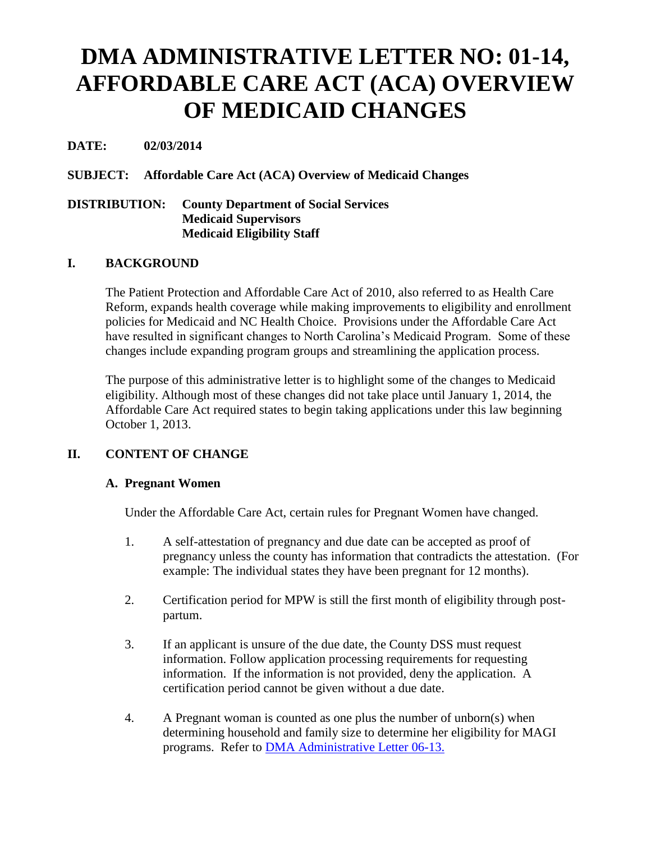# **DMA ADMINISTRATIVE LETTER NO: 01-14, AFFORDABLE CARE ACT (ACA) OVERVIEW OF MEDICAID CHANGES**

# **DATE: 02/03/2014**

## **SUBJECT: Affordable Care Act (ACA) Overview of Medicaid Changes**

#### **DISTRIBUTION: County Department of Social Services Medicaid Supervisors Medicaid Eligibility Staff**

## **I. BACKGROUND**

The Patient Protection and Affordable Care Act of 2010, also referred to as Health Care Reform, expands health coverage while making improvements to eligibility and enrollment policies for Medicaid and NC Health Choice. Provisions under the Affordable Care Act have resulted in significant changes to North Carolina's Medicaid Program. Some of these changes include expanding program groups and streamlining the application process.

The purpose of this administrative letter is to highlight some of the changes to Medicaid eligibility. Although most of these changes did not take place until January 1, 2014, the Affordable Care Act required states to begin taking applications under this law beginning October 1, 2013.

## **II. CONTENT OF CHANGE**

#### **A. Pregnant Women**

Under the Affordable Care Act, certain rules for Pregnant Women have changed.

- 1. A self-attestation of pregnancy and due date can be accepted as proof of pregnancy unless the county has information that contradicts the attestation. (For example: The individual states they have been pregnant for 12 months).
- 2. Certification period for MPW is still the first month of eligibility through postpartum.
- 3. If an applicant is unsure of the due date, the County DSS must request information. Follow application processing requirements for requesting information. If the information is not provided, deny the application. A certification period cannot be given without a due date.
- 4. A Pregnant woman is counted as one plus the number of unborn(s) when determining household and family size to determine her eligibility for MAGI programs. Refer to [DMA Administrative Letter 06-13.](http://info.dhhs.state.nc.us/olm/manuals/dma/abd/adm/MA_AL06-13.htm#P0_0)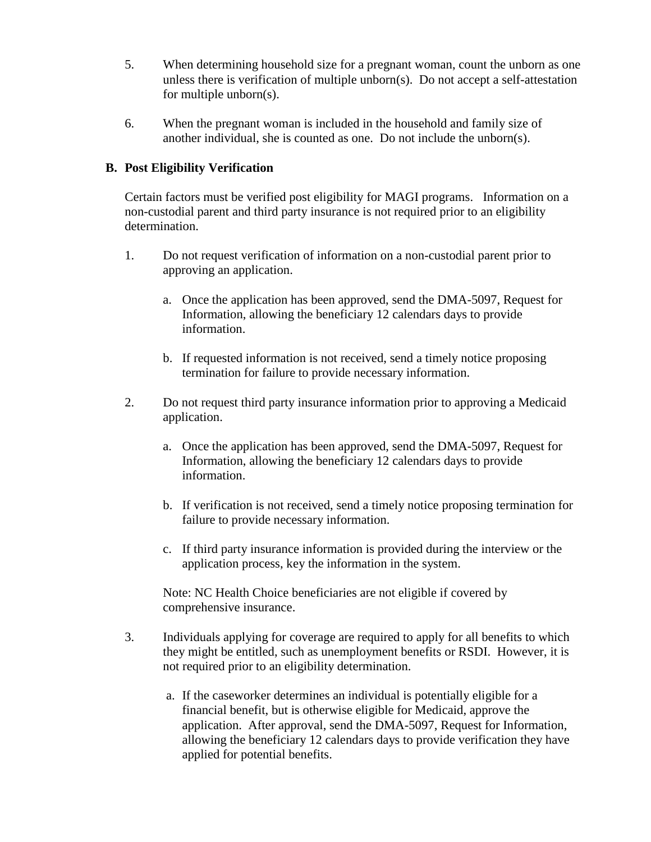- 5. When determining household size for a pregnant woman, count the unborn as one unless there is verification of multiple unborn $(s)$ . Do not accept a self-attestation for multiple unborn(s).
- 6. When the pregnant woman is included in the household and family size of another individual, she is counted as one. Do not include the unborn(s).

## **B. Post Eligibility Verification**

Certain factors must be verified post eligibility for MAGI programs. Information on a non-custodial parent and third party insurance is not required prior to an eligibility determination.

- 1. Do not request verification of information on a non-custodial parent prior to approving an application.
	- a. Once the application has been approved, send the DMA-5097, Request for Information, allowing the beneficiary 12 calendars days to provide information.
	- b. If requested information is not received, send a timely notice proposing termination for failure to provide necessary information.
- 2. Do not request third party insurance information prior to approving a Medicaid application.
	- a. Once the application has been approved, send the DMA-5097, Request for Information, allowing the beneficiary 12 calendars days to provide information.
	- b. If verification is not received, send a timely notice proposing termination for failure to provide necessary information.
	- c. If third party insurance information is provided during the interview or the application process, key the information in the system.

Note: NC Health Choice beneficiaries are not eligible if covered by comprehensive insurance.

- 3. Individuals applying for coverage are required to apply for all benefits to which they might be entitled, such as unemployment benefits or RSDI. However, it is not required prior to an eligibility determination.
	- a. If the caseworker determines an individual is potentially eligible for a financial benefit, but is otherwise eligible for Medicaid, approve the application. After approval, send the DMA-5097, Request for Information, allowing the beneficiary 12 calendars days to provide verification they have applied for potential benefits.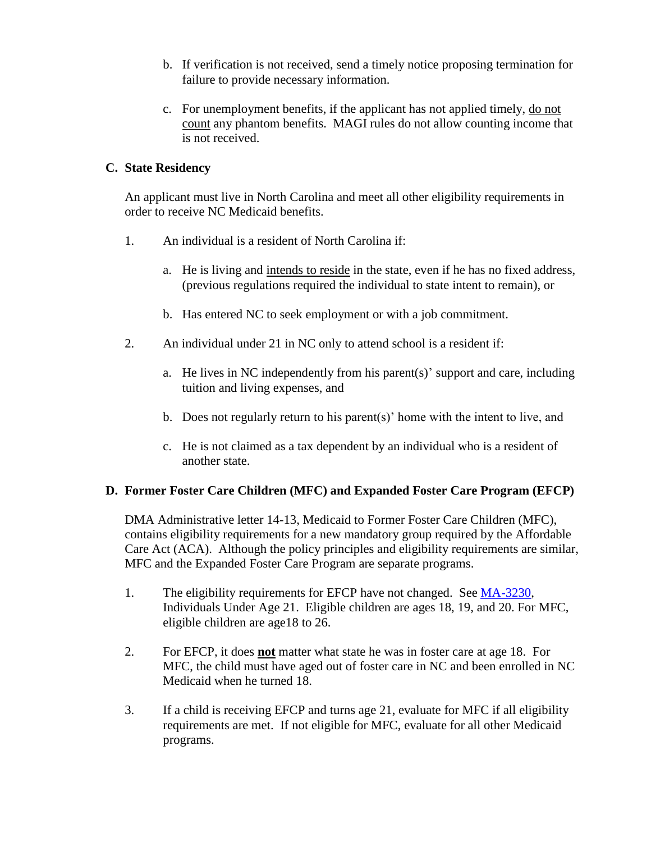- b. If verification is not received, send a timely notice proposing termination for failure to provide necessary information.
- c. For unemployment benefits, if the applicant has not applied timely, do not count any phantom benefits. MAGI rules do not allow counting income that is not received.

## **C. State Residency**

An applicant must live in North Carolina and meet all other eligibility requirements in order to receive NC Medicaid benefits.

- 1. An individual is a resident of North Carolina if:
	- a. He is living and intends to reside in the state, even if he has no fixed address, (previous regulations required the individual to state intent to remain), or
	- b. Has entered NC to seek employment or with a job commitment.
- 2. An individual under 21 in NC only to attend school is a resident if:
	- a. He lives in NC independently from his parent(s)' support and care, including tuition and living expenses, and
	- b. Does not regularly return to his parent(s)' home with the intent to live, and
	- c. He is not claimed as a tax dependent by an individual who is a resident of another state.

## **D. Former Foster Care Children (MFC) and Expanded Foster Care Program (EFCP)**

DMA Administrative letter 14-13, Medicaid to Former Foster Care Children (MFC), contains eligibility requirements for a new mandatory group required by the Affordable Care Act (ACA). Although the policy principles and eligibility requirements are similar, MFC and the Expanded Foster Care Program are separate programs.

- 1. The eligibility requirements for EFCP have not changed. See [MA-3230,](http://info.dhhs.state.nc.us/olm/manuals/dma/fcm/man/MA3230.htm#TopOfPage) Individuals Under Age 21. Eligible children are ages 18, 19, and 20. For MFC, eligible children are age18 to 26.
- 2. For EFCP, it does **not** matter what state he was in foster care at age 18. For MFC, the child must have aged out of foster care in NC and been enrolled in NC Medicaid when he turned 18.
- 3. If a child is receiving EFCP and turns age 21, evaluate for MFC if all eligibility requirements are met. If not eligible for MFC, evaluate for all other Medicaid programs.